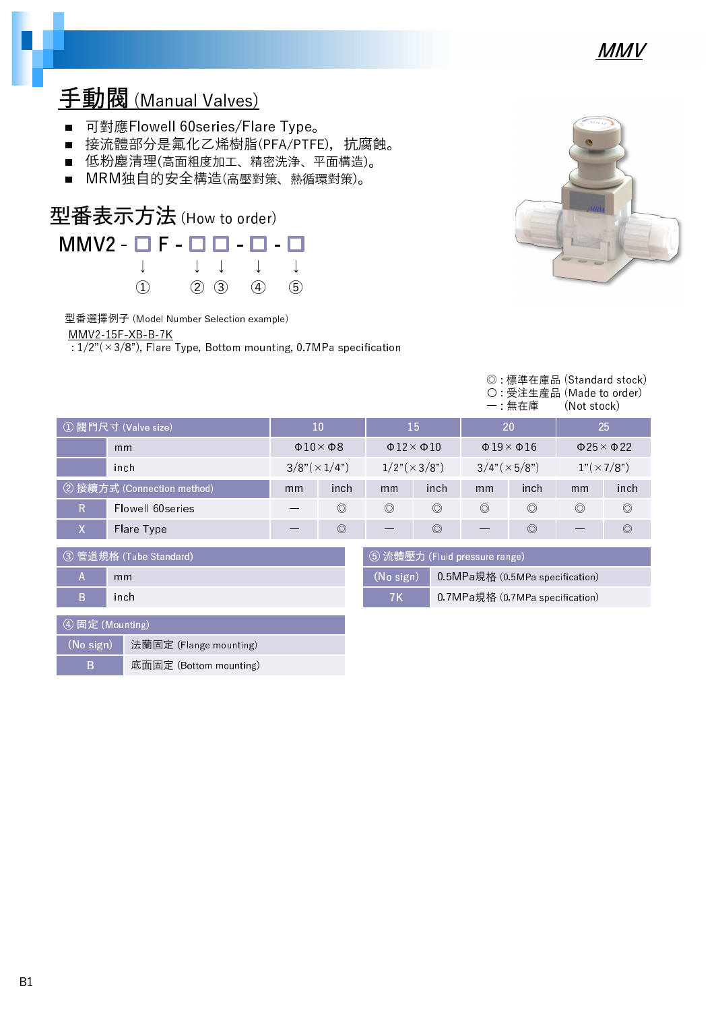

### 手動閥 (Manual Valves)

- 可對應Flowell 60series/Flare Type。
- 接流體部分是氟化乙烯樹脂(PFA/PTFE), 抗腐蝕。
- 低粉塵清理(高面粗度加工、精密洗浄、平面構造)。
- MRM独自的安全構造(高壓對策、熱循環對策)。



型番選擇例子 (Model Number Selection example)

MMV2-15F-XB-B-7K

 $\sqrt{1/2^{\pi}(\times 3/8^{\pi})}$ , Flare Type, Bottom mounting, 0.7MPa specification



|                        |                            |                      |                             |                |                                 |                                 | ◎ :標準在庫品 (Standard stock)<br>○ 受注生産品 (Made to order)<br>一:無在庫 | (Not stock)    |                              |
|------------------------|----------------------------|----------------------|-----------------------------|----------------|---------------------------------|---------------------------------|---------------------------------------------------------------|----------------|------------------------------|
|                        | ① 閥門尺寸 (Valve size)        | <b>15</b><br>10      |                             |                | 20                              |                                 | 25                                                            |                |                              |
|                        | mm                         |                      | $\Phi$ 10 $\times$ $\Phi$ 8 |                | $\Phi$ 12 $\times$ $\Phi$ 10    |                                 | $\Phi$ 19 $\times$ $\Phi$ 16                                  |                | $\Phi$ 25 $\times$ $\Phi$ 22 |
|                        | inch                       | $3/8" (\times 1/4")$ |                             |                | $1/2"(\times 3/8")$             | $3/4"(\times 5/8")$             |                                                               |                | $1"(\times 7/8")$            |
|                        | ② 接續方式 (Connection method) | mm                   | inch                        | mm             | inch                            | mm                              | inch                                                          | mm             | inch                         |
| R.                     | Flowell 60series           |                      | $\circledcirc$              | $\circledcirc$ | $\circledcirc$                  | $\circledcirc$                  | $\circledcirc$                                                | $\circledcirc$ | $\circledcirc$               |
| X                      | Flare Type                 |                      | $\circledcirc$              |                | $\circledcirc$                  |                                 | $\circledcirc$                                                |                | $\circledcirc$               |
| ③ 管道規格 (Tube Standard) |                            |                      |                             |                | 5 流體壓力 (Fluid pressure range)   |                                 |                                                               |                |                              |
| A<br>mm                |                            |                      |                             | (No sign)      |                                 | 0.5MPa規格 (0.5MPa specification) |                                                               |                |                              |
| B<br>inch              |                            |                      | 7K                          |                | 0.7MPa規格 (0.7MPa specification) |                                 |                                                               |                |                              |

| 4 固定 (Mounting) |                        |  |  |  |
|-----------------|------------------------|--|--|--|
| $(No$ sign)     | 法蘭固定 (Flange mounting) |  |  |  |
| R               | 底面固定 (Bottom mounting) |  |  |  |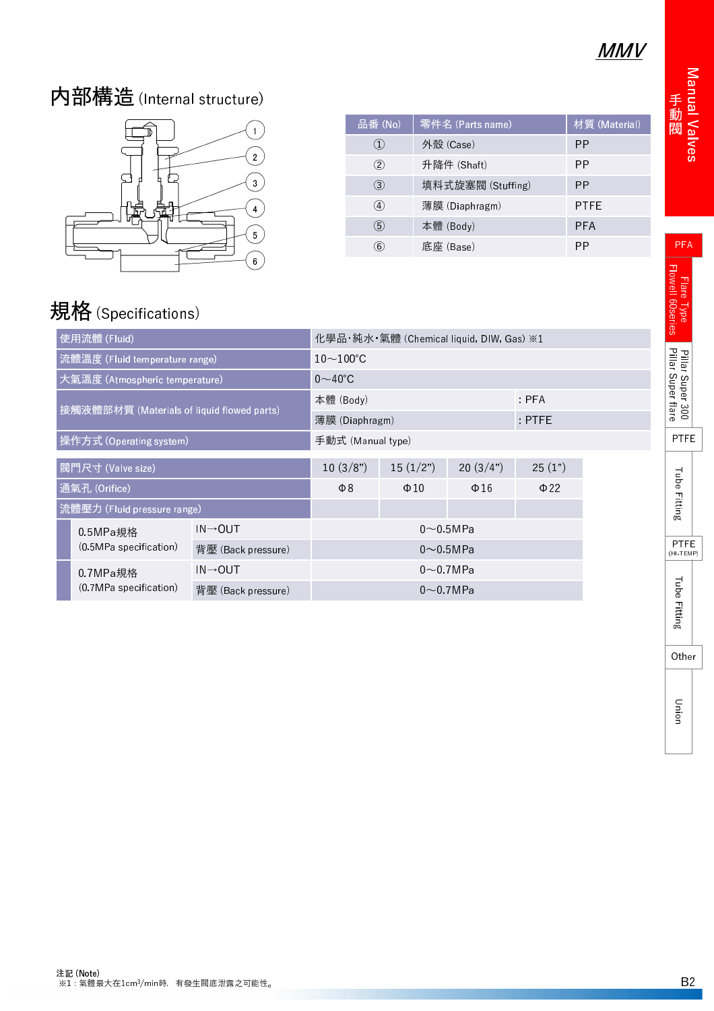## MMV

# 内部構造(Internal structure)



| 品番 (No)           | 零件名 (Parts name)  | 材質 (Material) |
|-------------------|-------------------|---------------|
| $\left( 1\right)$ | 外殼 (Case)         | ΡP            |
| $\rm(2)$          | 升降件 (Shaft)       | РP            |
| 3                 | 填料式旋塞閥 (Stuffing) | PP            |
| $\left( 4\right)$ | 薄膜 (Diaphragm)    | PTFE          |
| (5)               | 本體 (Body)         | PFA           |
| $\left( 6\right)$ | 底座 (Base)         | РP            |

## 規格 (Specifications)

| 使用流體 (Fluid)                                 |                                            | 化學品·純水·氣體 (Chemical liquid, DIW, Gas) ※1 |                   |                    |           |          |  |
|----------------------------------------------|--------------------------------------------|------------------------------------------|-------------------|--------------------|-----------|----------|--|
| 流體溫度 (Fluid temperature range)               |                                            | $10\sim100^{\circ}$ C                    |                   |                    |           |          |  |
|                                              | 大氣溫度 (Atmospheric temperature)             |                                          | $0\sim$ 40°C      |                    |           |          |  |
|                                              | 接觸液體部材質 (Materials of liquid flowed parts) |                                          | 本體 (Body)         |                    |           | PFA      |  |
|                                              |                                            |                                          | 薄膜 (Diaphragm)    |                    |           | $:$ PTFE |  |
|                                              | 操作方式 (Operating system)                    |                                          | 手動式 (Manual type) |                    |           |          |  |
| 閥門尺寸 (Valve size)                            |                                            | 10(3/8")                                 | 15(1/2")          | 20(3/4")           | 25(1")    |          |  |
| 通氣孔 (Orifice)                                |                                            | $\Phi$ 8                                 | $\Phi$ 10         | $\Phi$ 16          | $\Phi$ 22 |          |  |
| 流體壓力 (Fluid pressure range)                  |                                            |                                          |                   |                    |           |          |  |
| $IN \rightarrow OUT$<br>0.5MPa規格             |                                            | $0\sim 0.5$ MPa                          |                   |                    |           |          |  |
| (0.5MPa specification)<br>背壓 (Back pressure) |                                            | $0\!\sim\!0.5$ MPa                       |                   |                    |           |          |  |
| 0.7MPa規格<br>(0.7MPa specification)           |                                            | $IN \rightarrow OUT$                     | $0\sim 0.7$ MPa   |                    |           |          |  |
|                                              |                                            | 背壓 (Back pressure)                       |                   | $0\!\sim\!0.7$ MPa |           |          |  |

Manual Valve 動 閥

**Pillar Super 30** 

PTFE

PFA

**Other**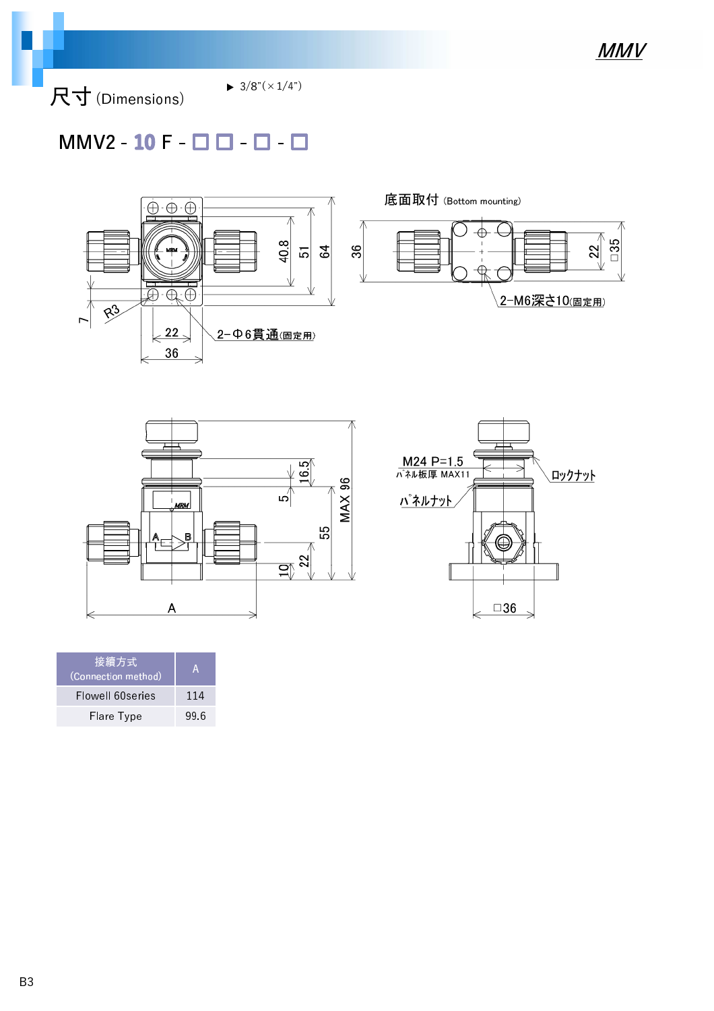尺寸 (Dimensions)

 $\blacktriangleright$  3/8"( $\times$ 1/4")

### $MMV2 - 10 F - \Box$   $\Box$  -  $\Box$  -  $\Box$







| '接續方式<br>(Connection method) | А    |
|------------------------------|------|
| Flowell 60series             | 114  |
| Flare Type                   | 99.6 |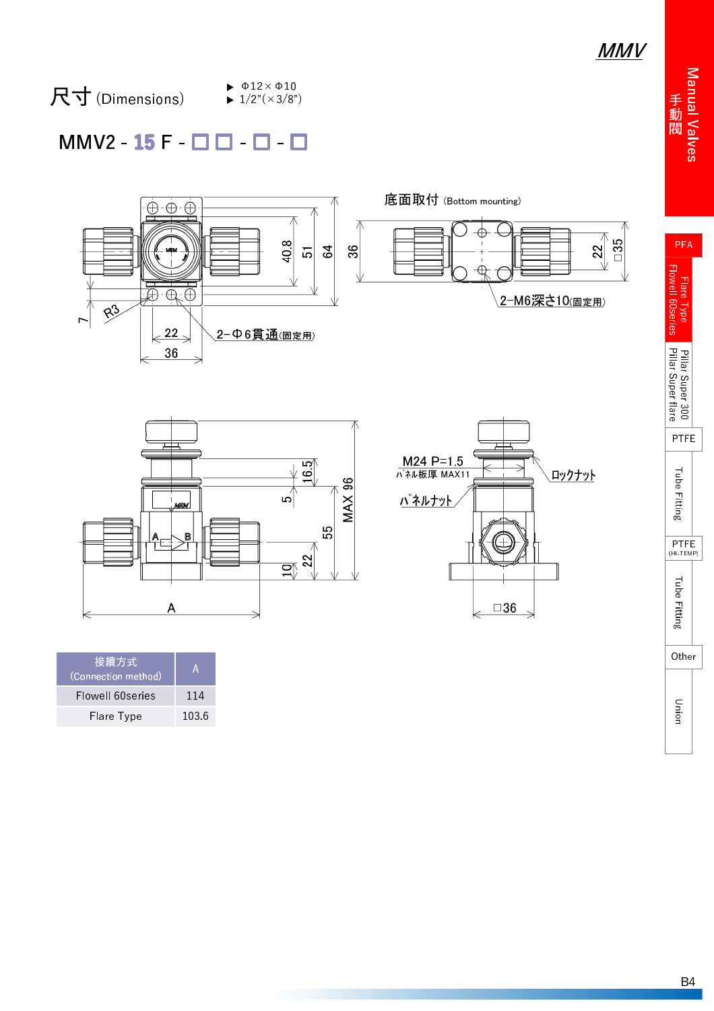Manual Valve 動 閥

PFA

r lare lyp l Flowell 60serie

#### 尺寸 (Dimensions)  $\blacktriangleright$   $\Phi$ 12× $\Phi$ 10  $\blacktriangleright$  1/2"( $\times$ 3/8")

### $MMV2 - 15F - 11 - 1 - 1$





| M24 P=1.5<br>パネル板厚 MAX11 | ロックナット       |
|--------------------------|--------------|
| <b>バネルナット</b>            |              |
|                          |              |
|                          |              |
|                          | $\square 36$ |

| 接續方 <u>式</u><br>(Connection method) | А     |
|-------------------------------------|-------|
| Flowell 60series                    | 114   |
| Flare Type                          | 103.6 |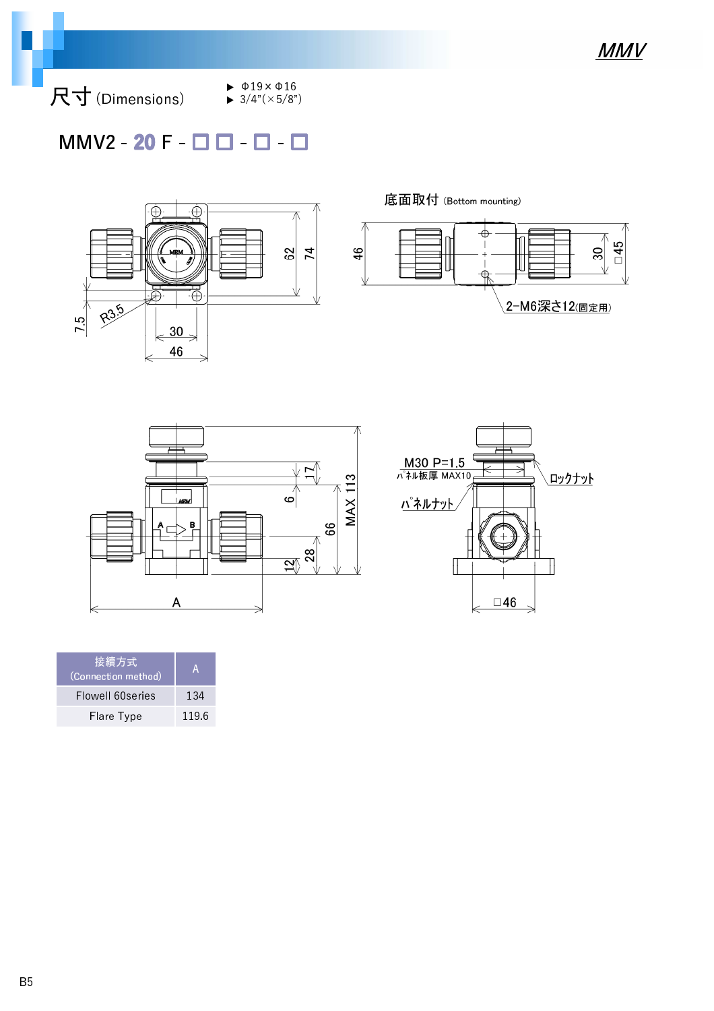尺寸 (Dimensions)

- $\blacktriangleright$   $\Phi$ 19× $\Phi$ 16  $\blacktriangleright$  3/4"( $\times$ 5/8")
- $MMV2 20 F \Box$   $\Box$   $\Box$



底面取付 (Bottom mounting)







| 接續方式<br>(Connection method) | VA.   |
|-----------------------------|-------|
| Flowell 60series            | 134   |
| Flare Type                  | 119.6 |